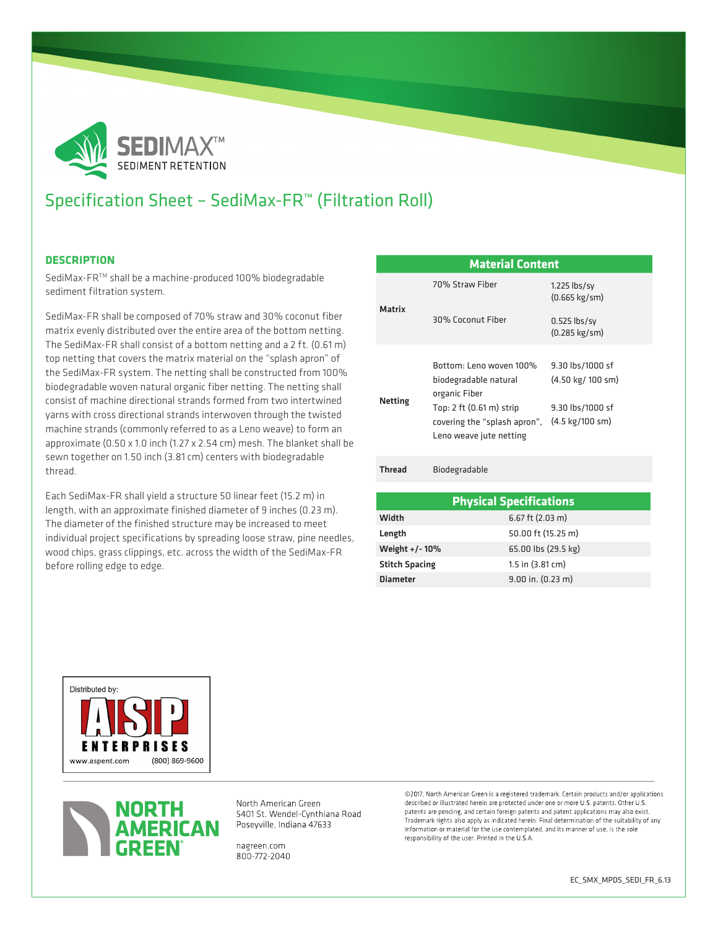

# Specification Sheet – SediMax-FR™ (Filtration Roll)

### **DESCRIPTION**

SediMax-FRTM shall be a machine-produced 100% biodegradable sediment filtration system.

SediMax-FR shall be composed of 70% straw and 30% coconut fiber matrix evenly distributed over the entire area of the bottom netting. The SediMax-FR shall consist of a bottom netting and a 2 ft. (0.61 m) top netting that covers the matrix material on the "splash apron" of the SediMax-FR system. The netting shall be constructed from 100% biodegradable woven natural organic fiber netting. The netting shall consist of machine directional strands formed from two intertwined yarns with cross directional strands interwoven through the twisted machine strands (commonly referred to as a Leno weave) to form an approximate (0.50 x 1.0 inch (1.27 x 2.54 cm) mesh. The blanket shall be sewn together on 1.50 inch (3.81 cm) centers with biodegradable thread.

Each SediMax-FR shall yield a structure 50 linear feet (15.2 m) in length, with an approximate finished diameter of 9 inches (0.23 m). The diameter of the finished structure may be increased to meet individual project specifications by spreading loose straw, pine needles, wood chips, grass clippings, etc. across the width of the SediMax-FR before rolling edge to edge.

| <b>Material Content</b> |                                                                                                                                                          |                                                                                                |
|-------------------------|----------------------------------------------------------------------------------------------------------------------------------------------------------|------------------------------------------------------------------------------------------------|
| Matrix                  | 70% Straw Fiher                                                                                                                                          | $1.225$ lbs/sy<br>$(0.665 \text{ kg/sm})$                                                      |
|                         | 30% Coconut Fiber                                                                                                                                        | $0.525$ lbs/sy<br>$(0.285 \text{ kg/sm})$                                                      |
| Netting                 | Bottom: Leno woven 100%<br>biodegradable natural<br>organic Fiber<br>Top: 2 ft (0.61 m) strip<br>covering the "splash apron",<br>Leno weave jute netting | 9.30 lbs/1000 sf<br>(4.50 kg/ 100 sm)<br>9.30 lbs/1000 sf<br>$(4.5 \text{ kg}/100 \text{ sm})$ |
| <b>Thread</b>           | Biodegradable                                                                                                                                            |                                                                                                |
|                         |                                                                                                                                                          |                                                                                                |

| <b>Physical Specifications</b> |                         |  |  |
|--------------------------------|-------------------------|--|--|
| Width                          | $6.67$ ft (2.03 m)      |  |  |
| Length                         | 50.00 ft (15.25 m)      |  |  |
| Weight +/-10%                  | 65.00 lbs (29.5 kg)     |  |  |
| <b>Stitch Spacing</b>          | $1.5$ in $(3.81$ cm $)$ |  |  |
| <b>Diameter</b>                | $9.00$ in. $(0.23$ m)   |  |  |





North American Green 5401 St. Wendel-Cynthiana Road Poseyville, Indiana 47633

nagreen.com 800-772-2040 ©2017. North American Green is a registered trademark. Certain products and/or applications described or illustrated herein are protected under one or more U.S. patents. Other U.S. patents are pending, and certain foreign patents and patent applications may also exist Trademark rights also apply as indicated herein. Final determination of the suitability of any information or material for the use contemplated, and its manner of use, is the sole responsibility of the user. Printed in the U.S.A.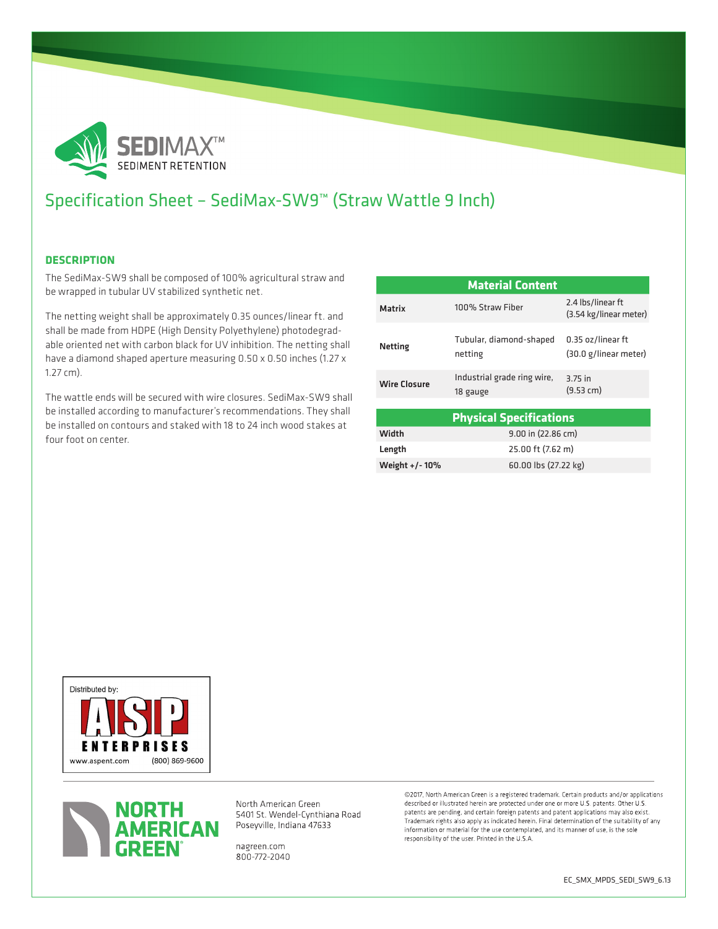

# Specification Sheet – SediMax-SW9™ (Straw Wattle 9 Inch)

### **DESCRIPTION**

The SediMax-SW9 shall be composed of 100% agricultural straw and be wrapped in tubular UV stabilized synthetic net.

The netting weight shall be approximately 0.35 ounces/linear ft. and shall be made from HDPE (High Density Polyethylene) photodegradable oriented net with carbon black for UV inhibition. The netting shall have a diamond shaped aperture measuring 0.50 x 0.50 inches (1.27 x 1.27 cm).

The wattle ends will be secured with wire closures. SediMax-SW9 shall be installed according to manufacturer's recommendations. They shall be installed on contours and staked with 18 to 24 inch wood stakes at four foot on center.

| <b>Material Content</b>        |                                         |                                             |  |  |
|--------------------------------|-----------------------------------------|---------------------------------------------|--|--|
| <b>Matrix</b>                  | 100% Straw Fiber                        | 2.4 lbs/linear ft<br>(3.54 kg/linear meter) |  |  |
| <b>Netting</b>                 | Tubular, diamond-shaped<br>netting      | 0.35 oz/linear ft<br>(30.0 g/linear meter)  |  |  |
| <b>Wire Closure</b>            | Industrial grade ring wire,<br>18 gauge | 3.75 in<br>(9.53 cm)                        |  |  |
| <b>Physical Specifications</b> |                                         |                                             |  |  |
| Width                          | 9.00 in (22.86 cm)                      |                                             |  |  |
| Length                         | 25.00 ft (7.62 m)                       |                                             |  |  |
| Weight +/-10%                  | 60.00 lbs (27.22 kg)                    |                                             |  |  |





North American Green 5401 St. Wendel-Cynthiana Road Poseyville, Indiana 47633

nagreen.com 800-772-2040 @2017, North American Green is a registered trademark. Certain products and/or applications described or illustrated herein are protected under one or more U.S. patents. Other U.S. patents are pending, and certain foreign patents and patent applications may also exist. Trademark rights also apply as indicated herein. Final determination of the suitability of any information or material for the use contemplated, and its manner of use, is the sole responsibility of the user. Printed in the U.S.A.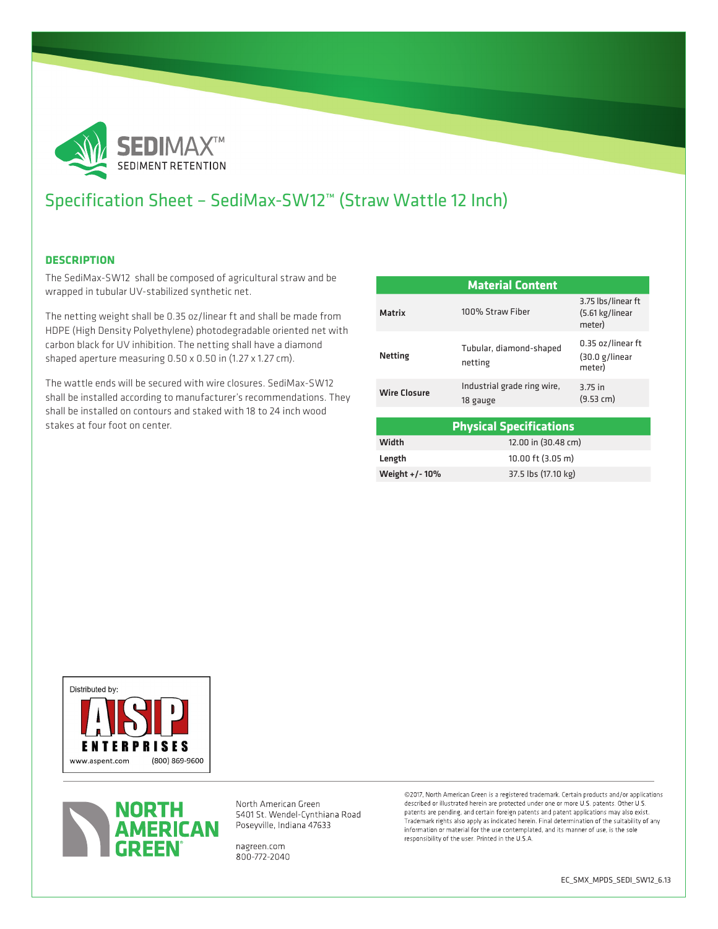

# Specification Sheet – SediMax-SW12™ (Straw Wattle 12 Inch)

### **DESCRIPTION**

The SediMax-SW12 shall be composed of agricultural straw and be wrapped in tubular UV-stabilized synthetic net.

The netting weight shall be 0.35 oz/linear ft and shall be made from HDPE (High Density Polyethylene) photodegradable oriented net with carbon black for UV inhibition. The netting shall have a diamond shaped aperture measuring 0.50 x 0.50 in (1.27 x 1.27 cm).

The wattle ends will be secured with wire closures. SediMax-SW12 shall be installed according to manufacturer's recommendations. They shall be installed on contours and staked with 18 to 24 inch wood stakes at four foot on center.

| <b>Material Content</b>        |                                         |                                                 |  |
|--------------------------------|-----------------------------------------|-------------------------------------------------|--|
| <b>Matrix</b>                  | 100% Straw Fiber                        | 3.75 lbs/linear ft<br>(5.61 kg/linear<br>meter) |  |
| <b>Netting</b>                 | Tubular, diamond-shaped<br>netting      | 0.35 oz/linear ft<br>(30.0 g/linear)<br>meter)  |  |
| <b>Wire Closure</b>            | Industrial grade ring wire,<br>18 gauge | 3.75 in<br>(9.53 cm)                            |  |
|                                |                                         |                                                 |  |
| <b>Physical Specifications</b> |                                         |                                                 |  |
| Width                          | 12.00 in (30.48 cm)                     |                                                 |  |
| Length                         | 10.00 ft (3.05 m)                       |                                                 |  |

| Length         | 10.00 ft (3.05 m)   |
|----------------|---------------------|
| Weight +/- 10% | 37.5 lbs (17.10 kg) |





North American Green 5401 St. Wendel-Cynthiana Road Poseyville, Indiana 47633

nagreen.com 800-772-2040 @2017, North American Green is a registered trademark. Certain products and/or applications described or illustrated herein are protected under one or more U.S. patents. Other U.S. patents are pending, and certain foreign patents and patent applications may also exist. Trademark rights also apply as indicated herein. Final determination of the suitability of any information or material for the use contemplated, and its manner of use, is the sole responsibility of the user. Printed in the U.S.A.